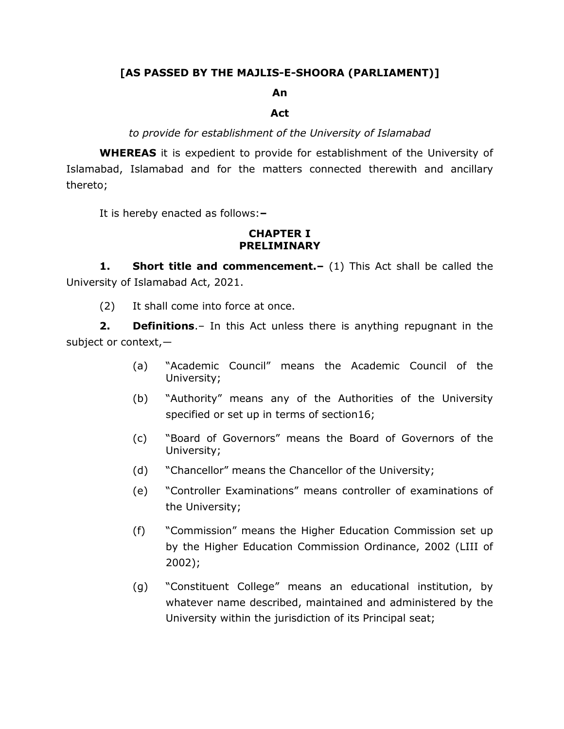## **[AS PASSED BY THE MAJLIS-E-SHOORA (PARLIAMENT)]**

#### **An**

#### **Act**

#### *to provide for establishment of the University of Islamabad*

**WHEREAS** it is expedient to provide for establishment of the University of Islamabad, Islamabad and for the matters connected therewith and ancillary thereto;

It is hereby enacted as follows:**–**

#### **CHAPTER I PRELIMINARY**

**1. Short title and commencement.–** (1) This Act shall be called the University of Islamabad Act, 2021.

(2) It shall come into force at once.

**2. Definitions**.– In this Act unless there is anything repugnant in the subject or context,-

- (a) "Academic Council" means the Academic Council of the University;
- (b) "Authority" means any of the Authorities of the University specified or set up in terms of section16;
- (c) "Board of Governors" means the Board of Governors of the University;
- (d) "Chancellor" means the Chancellor of the University;
- (e) "Controller Examinations" means controller of examinations of the University;
- (f) "Commission" means the Higher Education Commission set up by the Higher Education Commission Ordinance, 2002 (LIII of 2002);
- (g) "Constituent College" means an educational institution, by whatever name described, maintained and administered by the University within the jurisdiction of its Principal seat;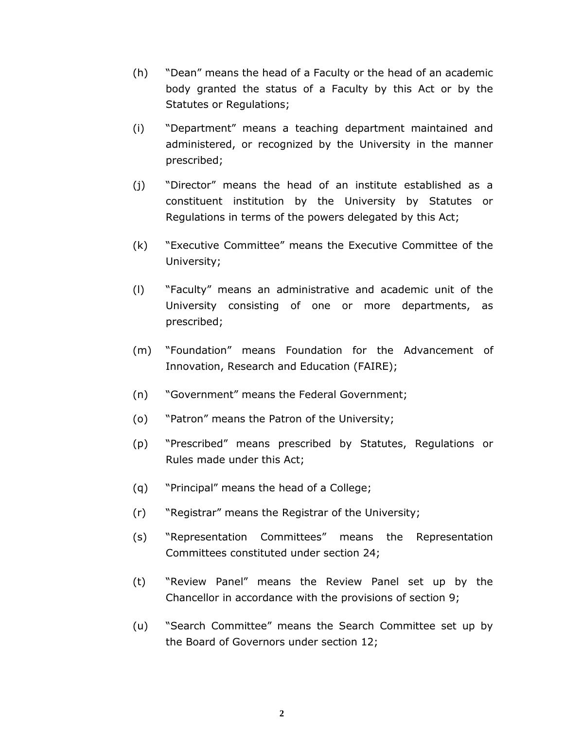- (h) "Dean" means the head of a Faculty or the head of an academic body granted the status of a Faculty by this Act or by the Statutes or Regulations;
- (i) "Department" means a teaching department maintained and administered, or recognized by the University in the manner prescribed;
- (j) "Director" means the head of an institute established as a constituent institution by the University by Statutes or Regulations in terms of the powers delegated by this Act;
- (k) "Executive Committee" means the Executive Committee of the University;
- (l) "Faculty" means an administrative and academic unit of the University consisting of one or more departments, as prescribed;
- (m) "Foundation" means Foundation for the Advancement of Innovation, Research and Education (FAIRE);
- (n) "Government" means the Federal Government;
- (o) "Patron" means the Patron of the University;
- (p) "Prescribed" means prescribed by Statutes, Regulations or Rules made under this Act;
- (q) "Principal" means the head of a College;
- (r) "Registrar" means the Registrar of the University;
- (s) "Representation Committees" means the Representation Committees constituted under section 24;
- (t) "Review Panel" means the Review Panel set up by the Chancellor in accordance with the provisions of section 9;
- (u) "Search Committee" means the Search Committee set up by the Board of Governors under section 12;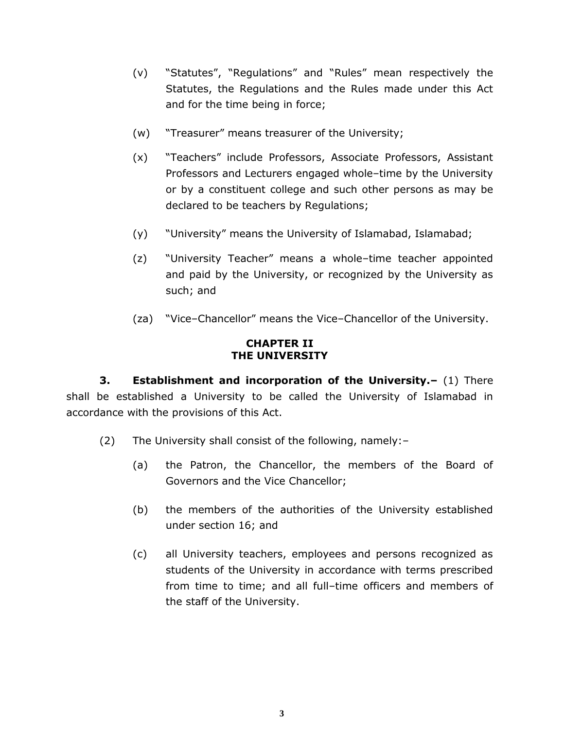- (v) "Statutes", "Regulations" and "Rules" mean respectively the Statutes, the Regulations and the Rules made under this Act and for the time being in force;
- (w) "Treasurer" means treasurer of the University;
- (x) "Teachers" include Professors, Associate Professors, Assistant Professors and Lecturers engaged whole–time by the University or by a constituent college and such other persons as may be declared to be teachers by Regulations;
- (y) "University" means the University of Islamabad, Islamabad;
- (z) "University Teacher" means a whole–time teacher appointed and paid by the University, or recognized by the University as such; and
- (za) "Vice–Chancellor" means the Vice–Chancellor of the University.

### **CHAPTER II THE UNIVERSITY**

**3. Establishment and incorporation of the University.–** (1) There shall be established a University to be called the University of Islamabad in accordance with the provisions of this Act.

- (2) The University shall consist of the following, namely:–
	- (a) the Patron, the Chancellor, the members of the Board of Governors and the Vice Chancellor;
	- (b) the members of the authorities of the University established under section 16; and
	- (c) all University teachers, employees and persons recognized as students of the University in accordance with terms prescribed from time to time; and all full–time officers and members of the staff of the University.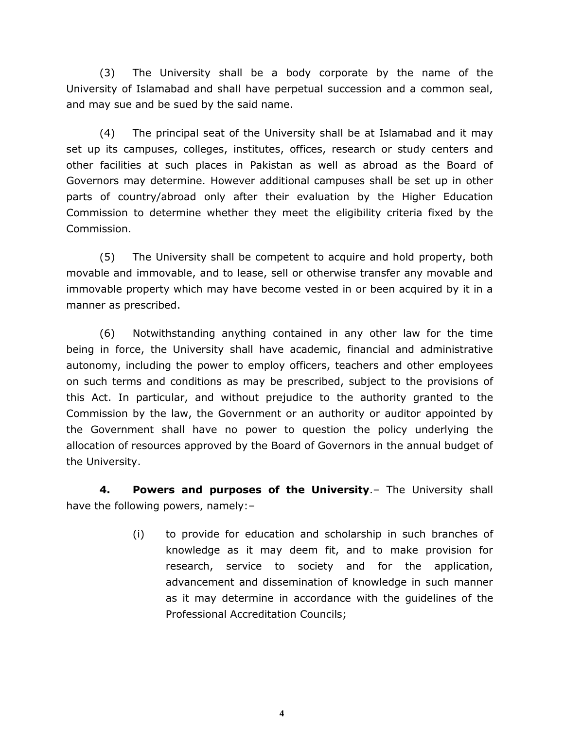(3) The University shall be a body corporate by the name of the University of Islamabad and shall have perpetual succession and a common seal, and may sue and be sued by the said name.

(4) The principal seat of the University shall be at Islamabad and it may set up its campuses, colleges, institutes, offices, research or study centers and other facilities at such places in Pakistan as well as abroad as the Board of Governors may determine. However additional campuses shall be set up in other parts of country/abroad only after their evaluation by the Higher Education Commission to determine whether they meet the eligibility criteria fixed by the Commission.

(5) The University shall be competent to acquire and hold property, both movable and immovable, and to lease, sell or otherwise transfer any movable and immovable property which may have become vested in or been acquired by it in a manner as prescribed.

(6) Notwithstanding anything contained in any other law for the time being in force, the University shall have academic, financial and administrative autonomy, including the power to employ officers, teachers and other employees on such terms and conditions as may be prescribed, subject to the provisions of this Act. In particular, and without prejudice to the authority granted to the Commission by the law, the Government or an authority or auditor appointed by the Government shall have no power to question the policy underlying the allocation of resources approved by the Board of Governors in the annual budget of the University.

**4. Powers and purposes of the University**.– The University shall have the following powers, namely:–

> (i) to provide for education and scholarship in such branches of knowledge as it may deem fit, and to make provision for research, service to society and for the application, advancement and dissemination of knowledge in such manner as it may determine in accordance with the guidelines of the Professional Accreditation Councils;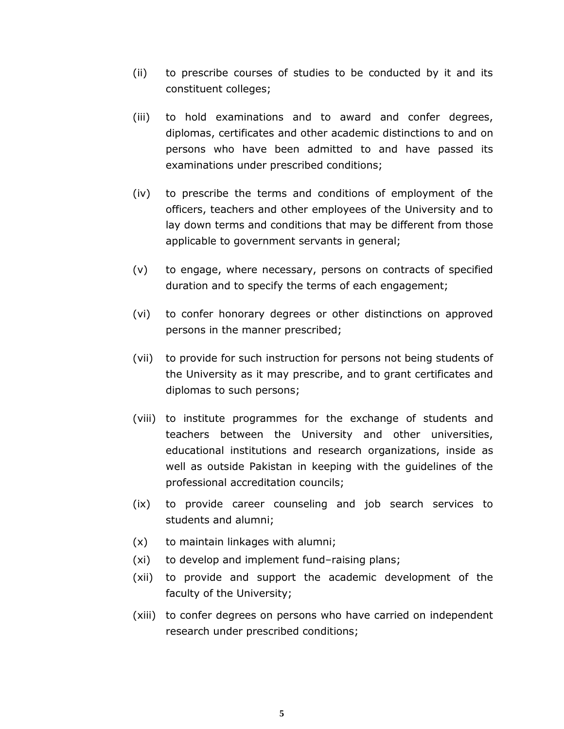- (ii) to prescribe courses of studies to be conducted by it and its constituent colleges;
- (iii) to hold examinations and to award and confer degrees, diplomas, certificates and other academic distinctions to and on persons who have been admitted to and have passed its examinations under prescribed conditions;
- (iv) to prescribe the terms and conditions of employment of the officers, teachers and other employees of the University and to lay down terms and conditions that may be different from those applicable to government servants in general;
- (v) to engage, where necessary, persons on contracts of specified duration and to specify the terms of each engagement;
- (vi) to confer honorary degrees or other distinctions on approved persons in the manner prescribed;
- (vii) to provide for such instruction for persons not being students of the University as it may prescribe, and to grant certificates and diplomas to such persons;
- (viii) to institute programmes for the exchange of students and teachers between the University and other universities, educational institutions and research organizations, inside as well as outside Pakistan in keeping with the guidelines of the professional accreditation councils;
- (ix) to provide career counseling and job search services to students and alumni;
- (x) to maintain linkages with alumni;
- (xi) to develop and implement fund–raising plans;
- (xii) to provide and support the academic development of the faculty of the University;
- (xiii) to confer degrees on persons who have carried on independent research under prescribed conditions;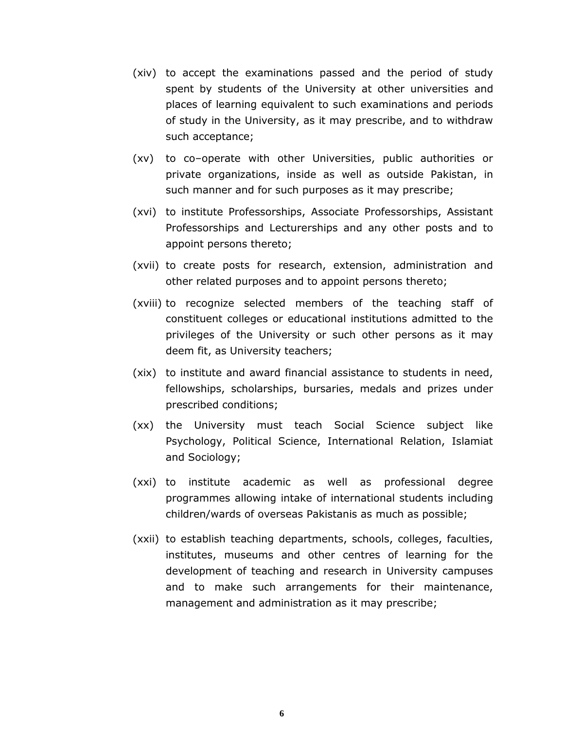- (xiv) to accept the examinations passed and the period of study spent by students of the University at other universities and places of learning equivalent to such examinations and periods of study in the University, as it may prescribe, and to withdraw such acceptance;
- (xv) to co–operate with other Universities, public authorities or private organizations, inside as well as outside Pakistan, in such manner and for such purposes as it may prescribe;
- (xvi) to institute Professorships, Associate Professorships, Assistant Professorships and Lecturerships and any other posts and to appoint persons thereto;
- (xvii) to create posts for research, extension, administration and other related purposes and to appoint persons thereto;
- (xviii) to recognize selected members of the teaching staff of constituent colleges or educational institutions admitted to the privileges of the University or such other persons as it may deem fit, as University teachers;
- (xix) to institute and award financial assistance to students in need, fellowships, scholarships, bursaries, medals and prizes under prescribed conditions;
- (xx) the University must teach Social Science subject like Psychology, Political Science, International Relation, Islamiat and Sociology;
- (xxi) to institute academic as well as professional degree programmes allowing intake of international students including children/wards of overseas Pakistanis as much as possible;
- (xxii) to establish teaching departments, schools, colleges, faculties, institutes, museums and other centres of learning for the development of teaching and research in University campuses and to make such arrangements for their maintenance, management and administration as it may prescribe;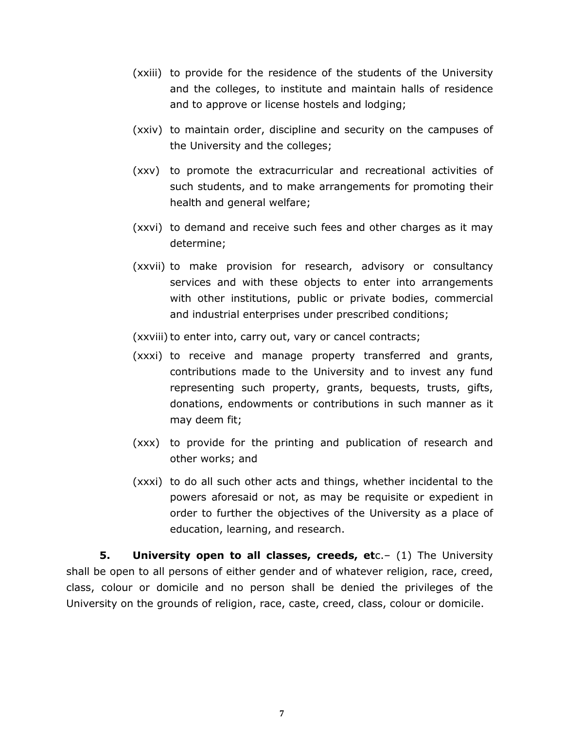- (xxiii) to provide for the residence of the students of the University and the colleges, to institute and maintain halls of residence and to approve or license hostels and lodging;
- (xxiv) to maintain order, discipline and security on the campuses of the University and the colleges;
- (xxv) to promote the extracurricular and recreational activities of such students, and to make arrangements for promoting their health and general welfare;
- (xxvi) to demand and receive such fees and other charges as it may determine;
- (xxvii) to make provision for research, advisory or consultancy services and with these objects to enter into arrangements with other institutions, public or private bodies, commercial and industrial enterprises under prescribed conditions;

(xxviii) to enter into, carry out, vary or cancel contracts;

- (xxxi) to receive and manage property transferred and grants, contributions made to the University and to invest any fund representing such property, grants, bequests, trusts, gifts, donations, endowments or contributions in such manner as it may deem fit;
- (xxx) to provide for the printing and publication of research and other works; and
- (xxxi) to do all such other acts and things, whether incidental to the powers aforesaid or not, as may be requisite or expedient in order to further the objectives of the University as a place of education, learning, and research.

**5. University open to all classes, creeds, et**c.– (1) The University shall be open to all persons of either gender and of whatever religion, race, creed, class, colour or domicile and no person shall be denied the privileges of the University on the grounds of religion, race, caste, creed, class, colour or domicile.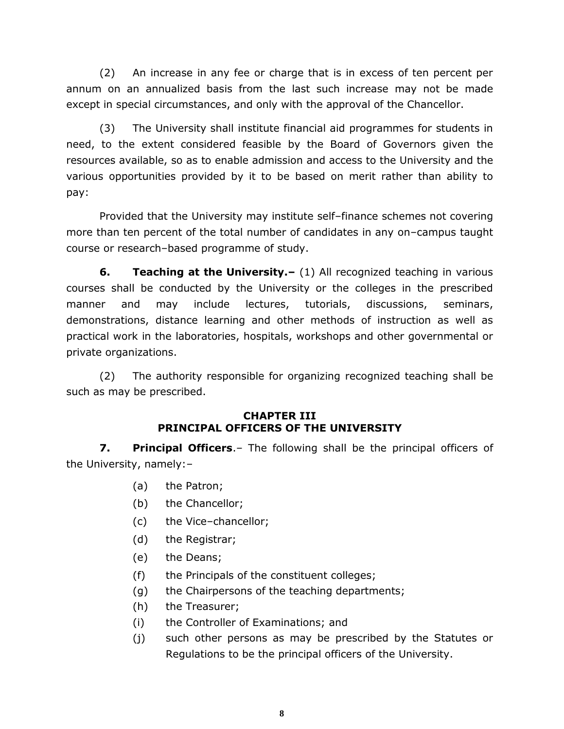(2) An increase in any fee or charge that is in excess of ten percent per annum on an annualized basis from the last such increase may not be made except in special circumstances, and only with the approval of the Chancellor.

(3) The University shall institute financial aid programmes for students in need, to the extent considered feasible by the Board of Governors given the resources available, so as to enable admission and access to the University and the various opportunities provided by it to be based on merit rather than ability to pay:

Provided that the University may institute self–finance schemes not covering more than ten percent of the total number of candidates in any on–campus taught course or research–based programme of study.

**6. Teaching at the University.–** (1) All recognized teaching in various courses shall be conducted by the University or the colleges in the prescribed manner and may include lectures, tutorials, discussions, seminars, demonstrations, distance learning and other methods of instruction as well as practical work in the laboratories, hospitals, workshops and other governmental or private organizations.

(2) The authority responsible for organizing recognized teaching shall be such as may be prescribed.

#### **CHAPTER III PRINCIPAL OFFICERS OF THE UNIVERSITY**

**7. Principal Officers**.– The following shall be the principal officers of the University, namely:–

- (a) the Patron;
- (b) the Chancellor;
- (c) the Vice–chancellor;
- (d) the Registrar;
- (e) the Deans;
- (f) the Principals of the constituent colleges;
- (g) the Chairpersons of the teaching departments;
- (h) the Treasurer;
- (i) the Controller of Examinations; and
- (j) such other persons as may be prescribed by the Statutes or Regulations to be the principal officers of the University.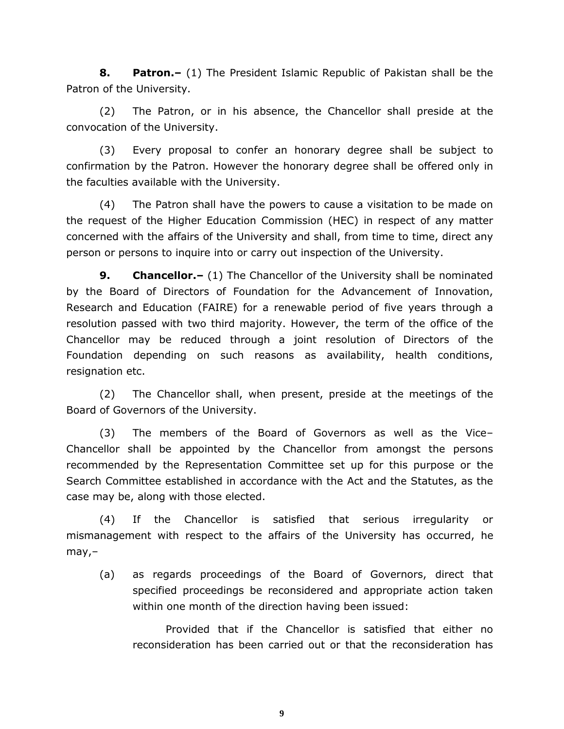**8. Patron.–** (1) The President Islamic Republic of Pakistan shall be the Patron of the University.

(2) The Patron, or in his absence, the Chancellor shall preside at the convocation of the University.

(3) Every proposal to confer an honorary degree shall be subject to confirmation by the Patron. However the honorary degree shall be offered only in the faculties available with the University.

(4) The Patron shall have the powers to cause a visitation to be made on the request of the Higher Education Commission (HEC) in respect of any matter concerned with the affairs of the University and shall, from time to time, direct any person or persons to inquire into or carry out inspection of the University.

**9. Chancellor.–** (1) The Chancellor of the University shall be nominated by the Board of Directors of Foundation for the Advancement of Innovation, Research and Education (FAIRE) for a renewable period of five years through a resolution passed with two third majority. However, the term of the office of the Chancellor may be reduced through a joint resolution of Directors of the Foundation depending on such reasons as availability, health conditions, resignation etc.

(2) The Chancellor shall, when present, preside at the meetings of the Board of Governors of the University.

(3) The members of the Board of Governors as well as the Vice– Chancellor shall be appointed by the Chancellor from amongst the persons recommended by the Representation Committee set up for this purpose or the Search Committee established in accordance with the Act and the Statutes, as the case may be, along with those elected.

(4) If the Chancellor is satisfied that serious irregularity or mismanagement with respect to the affairs of the University has occurred, he may,–

(a) as regards proceedings of the Board of Governors, direct that specified proceedings be reconsidered and appropriate action taken within one month of the direction having been issued:

Provided that if the Chancellor is satisfied that either no reconsideration has been carried out or that the reconsideration has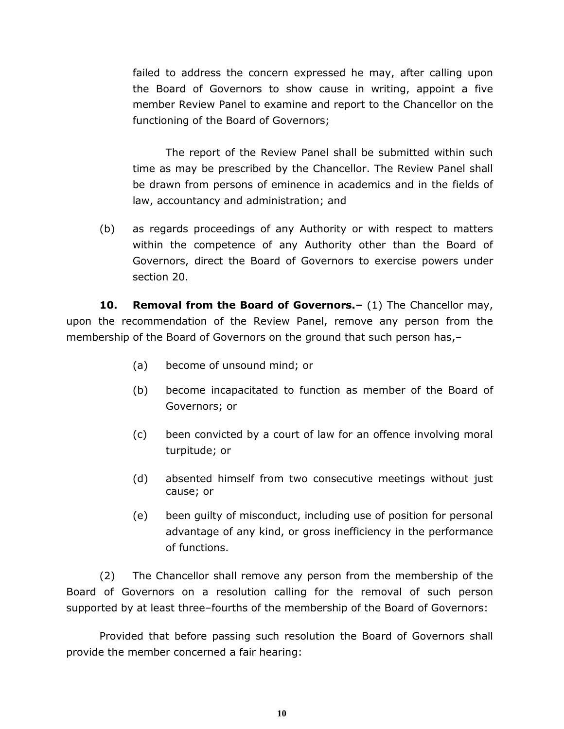failed to address the concern expressed he may, after calling upon the Board of Governors to show cause in writing, appoint a five member Review Panel to examine and report to the Chancellor on the functioning of the Board of Governors;

The report of the Review Panel shall be submitted within such time as may be prescribed by the Chancellor. The Review Panel shall be drawn from persons of eminence in academics and in the fields of law, accountancy and administration; and

(b) as regards proceedings of any Authority or with respect to matters within the competence of any Authority other than the Board of Governors, direct the Board of Governors to exercise powers under section 20.

**10. Removal from the Board of Governors.–** (1) The Chancellor may, upon the recommendation of the Review Panel, remove any person from the membership of the Board of Governors on the ground that such person has,–

- (a) become of unsound mind; or
- (b) become incapacitated to function as member of the Board of Governors; or
- (c) been convicted by a court of law for an offence involving moral turpitude; or
- (d) absented himself from two consecutive meetings without just cause; or
- (e) been guilty of misconduct, including use of position for personal advantage of any kind, or gross inefficiency in the performance of functions.

(2) The Chancellor shall remove any person from the membership of the Board of Governors on a resolution calling for the removal of such person supported by at least three–fourths of the membership of the Board of Governors:

Provided that before passing such resolution the Board of Governors shall provide the member concerned a fair hearing: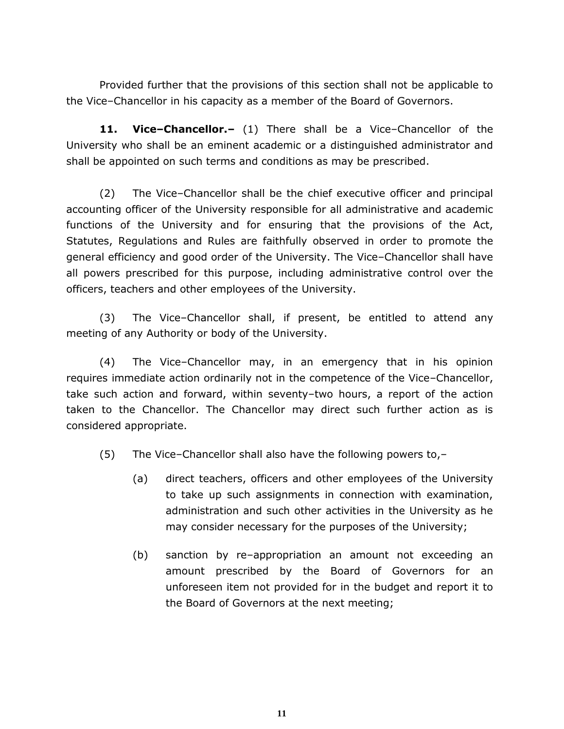Provided further that the provisions of this section shall not be applicable to the Vice–Chancellor in his capacity as a member of the Board of Governors.

**11. Vice–Chancellor.–** (1) There shall be a Vice–Chancellor of the University who shall be an eminent academic or a distinguished administrator and shall be appointed on such terms and conditions as may be prescribed.

(2) The Vice–Chancellor shall be the chief executive officer and principal accounting officer of the University responsible for all administrative and academic functions of the University and for ensuring that the provisions of the Act, Statutes, Regulations and Rules are faithfully observed in order to promote the general efficiency and good order of the University. The Vice–Chancellor shall have all powers prescribed for this purpose, including administrative control over the officers, teachers and other employees of the University.

(3) The Vice–Chancellor shall, if present, be entitled to attend any meeting of any Authority or body of the University.

(4) The Vice–Chancellor may, in an emergency that in his opinion requires immediate action ordinarily not in the competence of the Vice–Chancellor, take such action and forward, within seventy–two hours, a report of the action taken to the Chancellor. The Chancellor may direct such further action as is considered appropriate.

(5) The Vice–Chancellor shall also have the following powers to,–

- (a) direct teachers, officers and other employees of the University to take up such assignments in connection with examination, administration and such other activities in the University as he may consider necessary for the purposes of the University;
- (b) sanction by re–appropriation an amount not exceeding an amount prescribed by the Board of Governors for an unforeseen item not provided for in the budget and report it to the Board of Governors at the next meeting;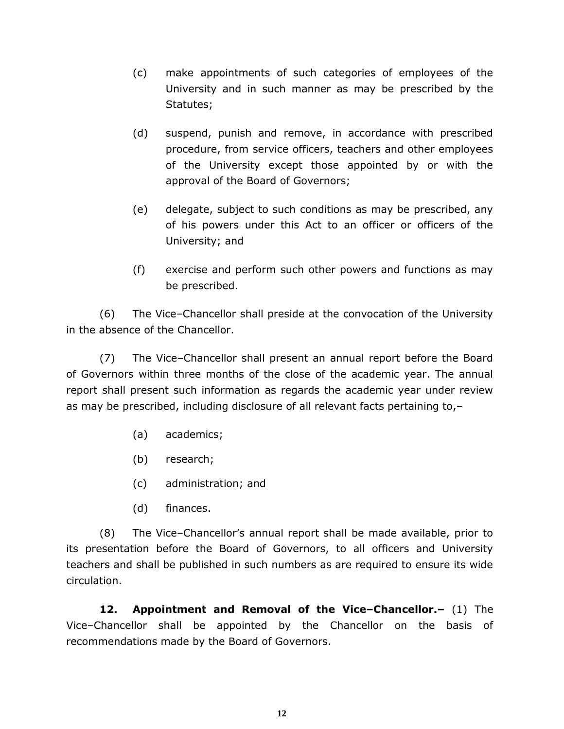- (c) make appointments of such categories of employees of the University and in such manner as may be prescribed by the Statutes;
- (d) suspend, punish and remove, in accordance with prescribed procedure, from service officers, teachers and other employees of the University except those appointed by or with the approval of the Board of Governors;
- (e) delegate, subject to such conditions as may be prescribed, any of his powers under this Act to an officer or officers of the University; and
- (f) exercise and perform such other powers and functions as may be prescribed.

(6) The Vice–Chancellor shall preside at the convocation of the University in the absence of the Chancellor.

(7) The Vice–Chancellor shall present an annual report before the Board of Governors within three months of the close of the academic year. The annual report shall present such information as regards the academic year under review as may be prescribed, including disclosure of all relevant facts pertaining to,–

- (a) academics;
- (b) research;
- (c) administration; and
- (d) finances.

(8) The Vice–Chancellor's annual report shall be made available, prior to its presentation before the Board of Governors, to all officers and University teachers and shall be published in such numbers as are required to ensure its wide circulation.

**12. Appointment and Removal of the Vice–Chancellor.–** (1) The Vice–Chancellor shall be appointed by the Chancellor on the basis of recommendations made by the Board of Governors.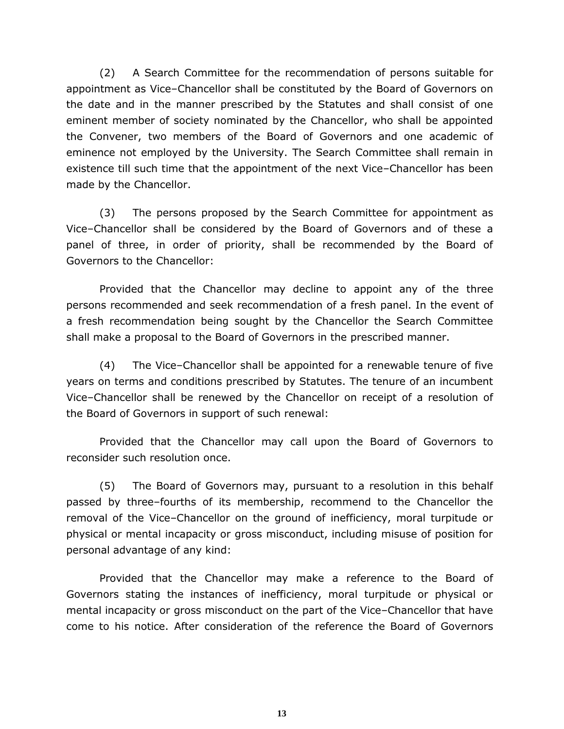(2) A Search Committee for the recommendation of persons suitable for appointment as Vice–Chancellor shall be constituted by the Board of Governors on the date and in the manner prescribed by the Statutes and shall consist of one eminent member of society nominated by the Chancellor, who shall be appointed the Convener, two members of the Board of Governors and one academic of eminence not employed by the University. The Search Committee shall remain in existence till such time that the appointment of the next Vice–Chancellor has been made by the Chancellor.

(3) The persons proposed by the Search Committee for appointment as Vice–Chancellor shall be considered by the Board of Governors and of these a panel of three, in order of priority, shall be recommended by the Board of Governors to the Chancellor:

Provided that the Chancellor may decline to appoint any of the three persons recommended and seek recommendation of a fresh panel. In the event of a fresh recommendation being sought by the Chancellor the Search Committee shall make a proposal to the Board of Governors in the prescribed manner.

(4) The Vice–Chancellor shall be appointed for a renewable tenure of five years on terms and conditions prescribed by Statutes. The tenure of an incumbent Vice–Chancellor shall be renewed by the Chancellor on receipt of a resolution of the Board of Governors in support of such renewal:

Provided that the Chancellor may call upon the Board of Governors to reconsider such resolution once.

(5) The Board of Governors may, pursuant to a resolution in this behalf passed by three–fourths of its membership, recommend to the Chancellor the removal of the Vice–Chancellor on the ground of inefficiency, moral turpitude or physical or mental incapacity or gross misconduct, including misuse of position for personal advantage of any kind:

Provided that the Chancellor may make a reference to the Board of Governors stating the instances of inefficiency, moral turpitude or physical or mental incapacity or gross misconduct on the part of the Vice–Chancellor that have come to his notice. After consideration of the reference the Board of Governors

**13**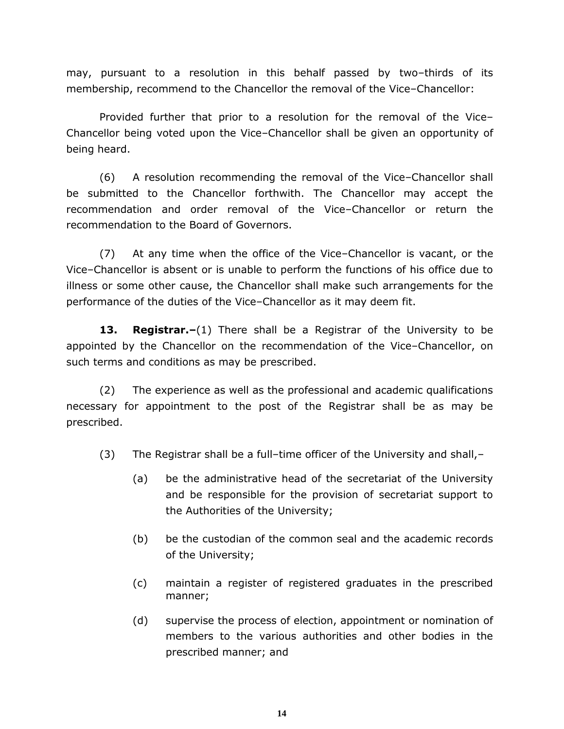may, pursuant to a resolution in this behalf passed by two–thirds of its membership, recommend to the Chancellor the removal of the Vice–Chancellor:

Provided further that prior to a resolution for the removal of the Vice– Chancellor being voted upon the Vice–Chancellor shall be given an opportunity of being heard.

(6) A resolution recommending the removal of the Vice–Chancellor shall be submitted to the Chancellor forthwith. The Chancellor may accept the recommendation and order removal of the Vice–Chancellor or return the recommendation to the Board of Governors.

(7) At any time when the office of the Vice–Chancellor is vacant, or the Vice–Chancellor is absent or is unable to perform the functions of his office due to illness or some other cause, the Chancellor shall make such arrangements for the performance of the duties of the Vice–Chancellor as it may deem fit.

**13. Registrar.–**(1) There shall be a Registrar of the University to be appointed by the Chancellor on the recommendation of the Vice–Chancellor, on such terms and conditions as may be prescribed.

(2) The experience as well as the professional and academic qualifications necessary for appointment to the post of the Registrar shall be as may be prescribed.

(3) The Registrar shall be a full–time officer of the University and shall, $-$ 

- (a) be the administrative head of the secretariat of the University and be responsible for the provision of secretariat support to the Authorities of the University;
- (b) be the custodian of the common seal and the academic records of the University;
- (c) maintain a register of registered graduates in the prescribed manner;
- (d) supervise the process of election, appointment or nomination of members to the various authorities and other bodies in the prescribed manner; and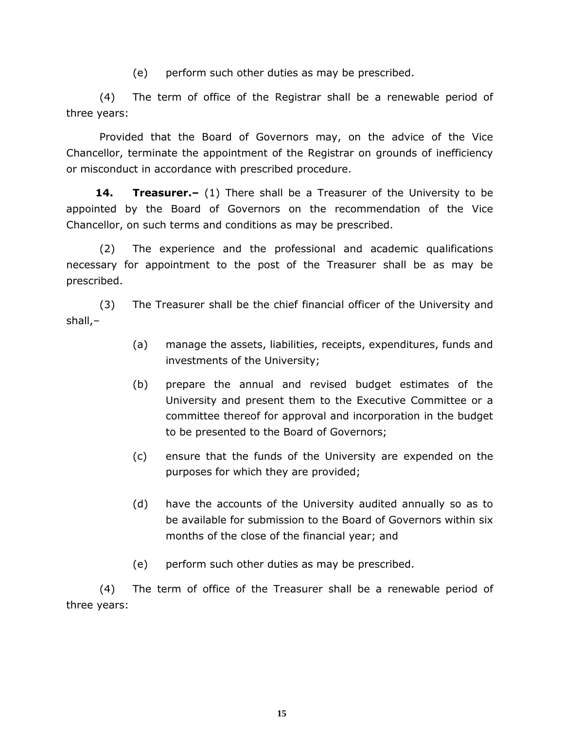(e) perform such other duties as may be prescribed.

(4) The term of office of the Registrar shall be a renewable period of three years:

Provided that the Board of Governors may, on the advice of the Vice Chancellor, terminate the appointment of the Registrar on grounds of inefficiency or misconduct in accordance with prescribed procedure.

**14. Treasurer.–** (1) There shall be a Treasurer of the University to be appointed by the Board of Governors on the recommendation of the Vice Chancellor, on such terms and conditions as may be prescribed.

(2) The experience and the professional and academic qualifications necessary for appointment to the post of the Treasurer shall be as may be prescribed.

(3) The Treasurer shall be the chief financial officer of the University and shall,–

- (a) manage the assets, liabilities, receipts, expenditures, funds and investments of the University;
- (b) prepare the annual and revised budget estimates of the University and present them to the Executive Committee or a committee thereof for approval and incorporation in the budget to be presented to the Board of Governors;
- (c) ensure that the funds of the University are expended on the purposes for which they are provided;
- (d) have the accounts of the University audited annually so as to be available for submission to the Board of Governors within six months of the close of the financial year; and
- (e) perform such other duties as may be prescribed.

(4) The term of office of the Treasurer shall be a renewable period of three years: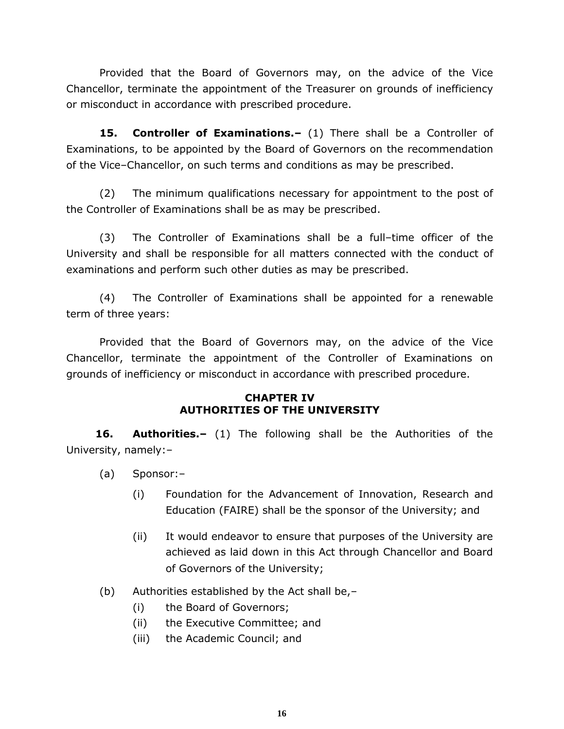Provided that the Board of Governors may, on the advice of the Vice Chancellor, terminate the appointment of the Treasurer on grounds of inefficiency or misconduct in accordance with prescribed procedure.

**15. Controller of Examinations.–** (1) There shall be a Controller of Examinations, to be appointed by the Board of Governors on the recommendation of the Vice–Chancellor, on such terms and conditions as may be prescribed.

(2) The minimum qualifications necessary for appointment to the post of the Controller of Examinations shall be as may be prescribed.

(3) The Controller of Examinations shall be a full–time officer of the University and shall be responsible for all matters connected with the conduct of examinations and perform such other duties as may be prescribed.

(4) The Controller of Examinations shall be appointed for a renewable term of three years:

Provided that the Board of Governors may, on the advice of the Vice Chancellor, terminate the appointment of the Controller of Examinations on grounds of inefficiency or misconduct in accordance with prescribed procedure.

#### **CHAPTER IV AUTHORITIES OF THE UNIVERSITY**

**16. Authorities.–** (1) The following shall be the Authorities of the University, namely:–

- (a) Sponsor:–
	- (i) Foundation for the Advancement of Innovation, Research and Education (FAIRE) shall be the sponsor of the University; and
	- (ii) It would endeavor to ensure that purposes of the University are achieved as laid down in this Act through Chancellor and Board of Governors of the University;
- (b) Authorities established by the Act shall be,–
	- (i) the Board of Governors;
	- (ii) the Executive Committee; and
	- (iii) the Academic Council; and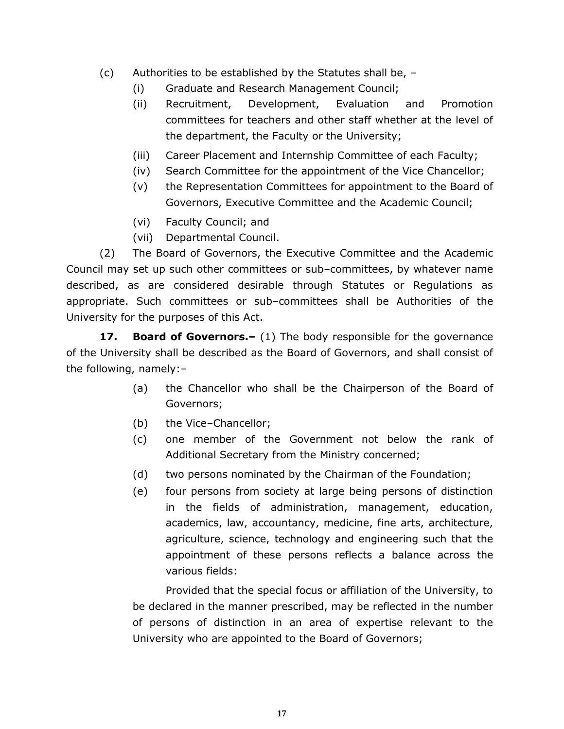- (c) Authorities to be established by the Statutes shall be,
	- (i) Graduate and Research Management Council;
	- (ii) Recruitment, Development, Evaluation and Promotion committees for teachers and other staff whether at the level of the department, the Faculty or the University;
	- (iii) Career Placement and Internship Committee of each Faculty;
	- (iv) Search Committee for the appointment of the Vice Chancellor;
	- (v) the Representation Committees for appointment to the Board of Governors, Executive Committee and the Academic Council;
	- (vi) Faculty Council; and
	- (vii) Departmental Council.

(2) The Board of Governors, the Executive Committee and the Academic Council may set up such other committees or sub–committees, by whatever name described, as are considered desirable through Statutes or Regulations as appropriate. Such committees or sub–committees shall be Authorities of the University for the purposes of this Act.

**17. Board of Governors.–** (1) The body responsible for the governance of the University shall be described as the Board of Governors, and shall consist of the following, namely:–

- (a) the Chancellor who shall be the Chairperson of the Board of Governors;
- (b) the Vice–Chancellor;
- (c) one member of the Government not below the rank of Additional Secretary from the Ministry concerned;
- (d) two persons nominated by the Chairman of the Foundation;
- (e) four persons from society at large being persons of distinction in the fields of administration, management, education, academics, law, accountancy, medicine, fine arts, architecture, agriculture, science, technology and engineering such that the appointment of these persons reflects a balance across the various fields:

Provided that the special focus or affiliation of the University, to be declared in the manner prescribed, may be reflected in the number of persons of distinction in an area of expertise relevant to the University who are appointed to the Board of Governors;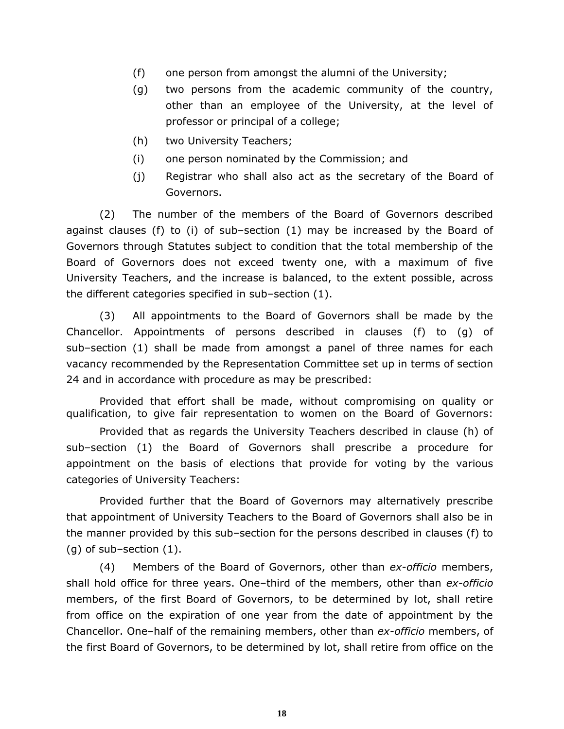- (f) one person from amongst the alumni of the University;
- (g) two persons from the academic community of the country, other than an employee of the University, at the level of professor or principal of a college;
- (h) two University Teachers;
- (i) one person nominated by the Commission; and
- (j) Registrar who shall also act as the secretary of the Board of Governors.

(2) The number of the members of the Board of Governors described against clauses (f) to (i) of sub–section (1) may be increased by the Board of Governors through Statutes subject to condition that the total membership of the Board of Governors does not exceed twenty one, with a maximum of five University Teachers, and the increase is balanced, to the extent possible, across the different categories specified in sub–section (1).

(3) All appointments to the Board of Governors shall be made by the Chancellor. Appointments of persons described in clauses (f) to (g) of sub–section (1) shall be made from amongst a panel of three names for each vacancy recommended by the Representation Committee set up in terms of section 24 and in accordance with procedure as may be prescribed:

Provided that effort shall be made, without compromising on quality or qualification, to give fair representation to women on the Board of Governors:

Provided that as regards the University Teachers described in clause (h) of sub–section (1) the Board of Governors shall prescribe a procedure for appointment on the basis of elections that provide for voting by the various categories of University Teachers:

Provided further that the Board of Governors may alternatively prescribe that appointment of University Teachers to the Board of Governors shall also be in the manner provided by this sub–section for the persons described in clauses (f) to (g) of sub–section (1).

(4) Members of the Board of Governors, other than *ex-officio* members, shall hold office for three years. One–third of the members, other than *ex-officio* members, of the first Board of Governors, to be determined by lot, shall retire from office on the expiration of one year from the date of appointment by the Chancellor. One–half of the remaining members, other than *ex-officio* members, of the first Board of Governors, to be determined by lot, shall retire from office on the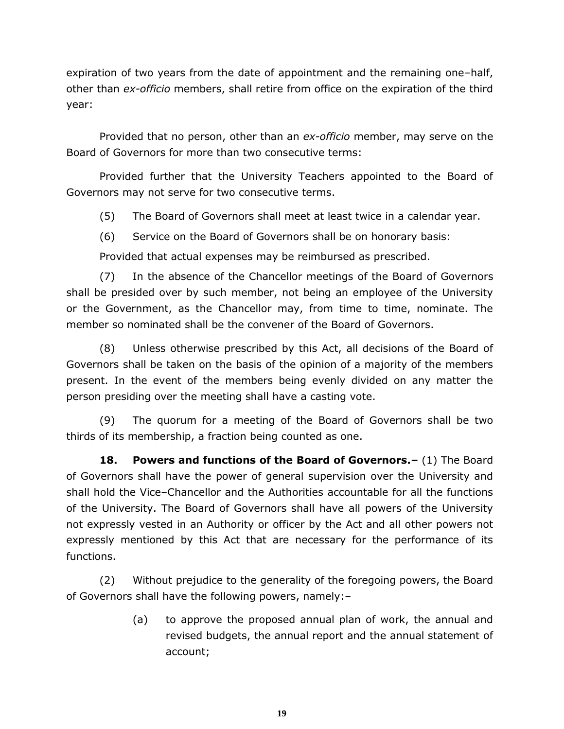expiration of two years from the date of appointment and the remaining one–half, other than *ex-officio* members, shall retire from office on the expiration of the third year:

Provided that no person, other than an *ex-officio* member, may serve on the Board of Governors for more than two consecutive terms:

Provided further that the University Teachers appointed to the Board of Governors may not serve for two consecutive terms.

(5) The Board of Governors shall meet at least twice in a calendar year.

(6) Service on the Board of Governors shall be on honorary basis:

Provided that actual expenses may be reimbursed as prescribed.

(7) In the absence of the Chancellor meetings of the Board of Governors shall be presided over by such member, not being an employee of the University or the Government, as the Chancellor may, from time to time, nominate. The member so nominated shall be the convener of the Board of Governors.

(8) Unless otherwise prescribed by this Act, all decisions of the Board of Governors shall be taken on the basis of the opinion of a majority of the members present. In the event of the members being evenly divided on any matter the person presiding over the meeting shall have a casting vote.

(9) The quorum for a meeting of the Board of Governors shall be two thirds of its membership, a fraction being counted as one.

**18. Powers and functions of the Board of Governors.–** (1) The Board of Governors shall have the power of general supervision over the University and shall hold the Vice–Chancellor and the Authorities accountable for all the functions of the University. The Board of Governors shall have all powers of the University not expressly vested in an Authority or officer by the Act and all other powers not expressly mentioned by this Act that are necessary for the performance of its functions.

(2) Without prejudice to the generality of the foregoing powers, the Board of Governors shall have the following powers, namely:–

> (a) to approve the proposed annual plan of work, the annual and revised budgets, the annual report and the annual statement of account;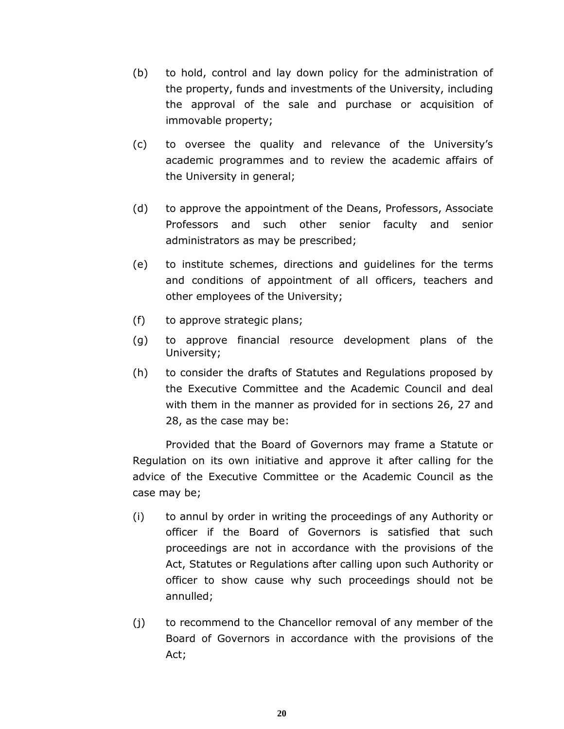- (b) to hold, control and lay down policy for the administration of the property, funds and investments of the University, including the approval of the sale and purchase or acquisition of immovable property;
- (c) to oversee the quality and relevance of the University's academic programmes and to review the academic affairs of the University in general;
- (d) to approve the appointment of the Deans, Professors, Associate Professors and such other senior faculty and senior administrators as may be prescribed;
- (e) to institute schemes, directions and guidelines for the terms and conditions of appointment of all officers, teachers and other employees of the University;
- (f) to approve strategic plans;
- (g) to approve financial resource development plans of the University;
- (h) to consider the drafts of Statutes and Regulations proposed by the Executive Committee and the Academic Council and deal with them in the manner as provided for in sections 26, 27 and 28, as the case may be:

Provided that the Board of Governors may frame a Statute or Regulation on its own initiative and approve it after calling for the advice of the Executive Committee or the Academic Council as the case may be;

- (i) to annul by order in writing the proceedings of any Authority or officer if the Board of Governors is satisfied that such proceedings are not in accordance with the provisions of the Act, Statutes or Regulations after calling upon such Authority or officer to show cause why such proceedings should not be annulled;
- (j) to recommend to the Chancellor removal of any member of the Board of Governors in accordance with the provisions of the Act;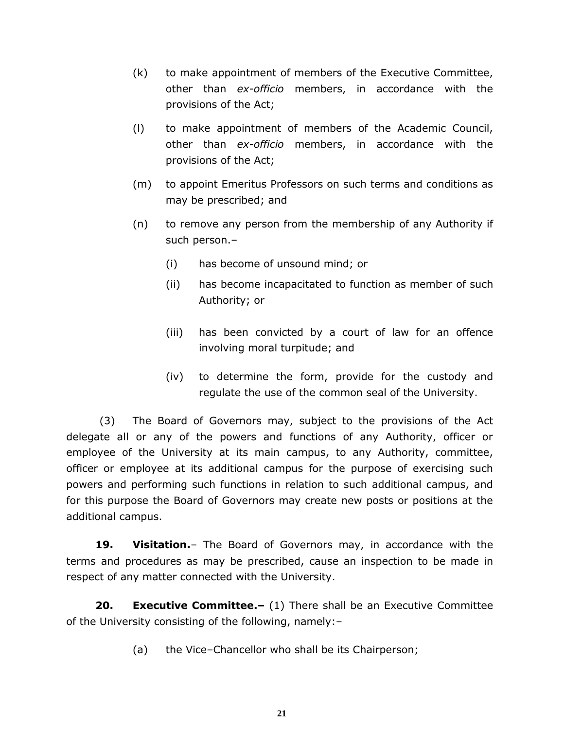- (k) to make appointment of members of the Executive Committee, other than *ex-officio* members, in accordance with the provisions of the Act;
- (l) to make appointment of members of the Academic Council, other than *ex-officio* members, in accordance with the provisions of the Act;
- (m) to appoint Emeritus Professors on such terms and conditions as may be prescribed; and
- (n) to remove any person from the membership of any Authority if such person.–
	- (i) has become of unsound mind; or
	- (ii) has become incapacitated to function as member of such Authority; or
	- (iii) has been convicted by a court of law for an offence involving moral turpitude; and
	- (iv) to determine the form, provide for the custody and regulate the use of the common seal of the University.

(3) The Board of Governors may, subject to the provisions of the Act delegate all or any of the powers and functions of any Authority, officer or employee of the University at its main campus, to any Authority, committee, officer or employee at its additional campus for the purpose of exercising such powers and performing such functions in relation to such additional campus, and for this purpose the Board of Governors may create new posts or positions at the additional campus.

**19. Visitation.**– The Board of Governors may, in accordance with the terms and procedures as may be prescribed, cause an inspection to be made in respect of any matter connected with the University.

**20. Executive Committee.–** (1) There shall be an Executive Committee of the University consisting of the following, namely:–

(a) the Vice–Chancellor who shall be its Chairperson;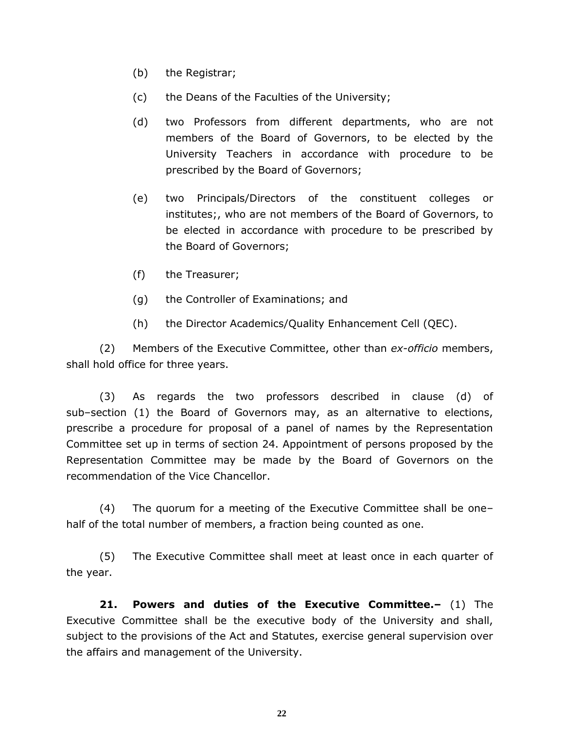- (b) the Registrar;
- (c) the Deans of the Faculties of the University;
- (d) two Professors from different departments, who are not members of the Board of Governors, to be elected by the University Teachers in accordance with procedure to be prescribed by the Board of Governors;
- (e) two Principals/Directors of the constituent colleges or institutes;, who are not members of the Board of Governors, to be elected in accordance with procedure to be prescribed by the Board of Governors;
- (f) the Treasurer;
- (g) the Controller of Examinations; and
- (h) the Director Academics/Quality Enhancement Cell (QEC).

(2) Members of the Executive Committee, other than *ex-officio* members, shall hold office for three years.

(3) As regards the two professors described in clause (d) of sub–section (1) the Board of Governors may, as an alternative to elections, prescribe a procedure for proposal of a panel of names by the Representation Committee set up in terms of section 24. Appointment of persons proposed by the Representation Committee may be made by the Board of Governors on the recommendation of the Vice Chancellor.

(4) The quorum for a meeting of the Executive Committee shall be one– half of the total number of members, a fraction being counted as one.

(5) The Executive Committee shall meet at least once in each quarter of the year.

**21. Powers and duties of the Executive Committee.–** (1) The Executive Committee shall be the executive body of the University and shall, subject to the provisions of the Act and Statutes, exercise general supervision over the affairs and management of the University.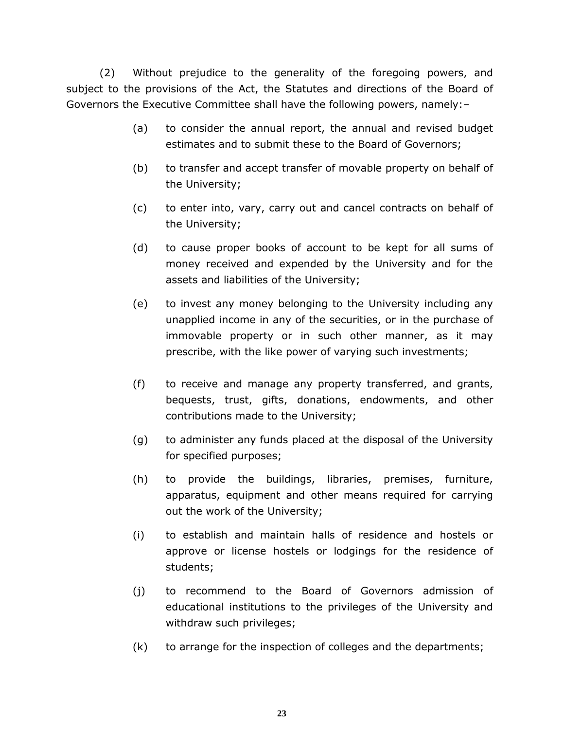(2) Without prejudice to the generality of the foregoing powers, and subject to the provisions of the Act, the Statutes and directions of the Board of Governors the Executive Committee shall have the following powers, namely:–

- (a) to consider the annual report, the annual and revised budget estimates and to submit these to the Board of Governors;
- (b) to transfer and accept transfer of movable property on behalf of the University;
- (c) to enter into, vary, carry out and cancel contracts on behalf of the University;
- (d) to cause proper books of account to be kept for all sums of money received and expended by the University and for the assets and liabilities of the University;
- (e) to invest any money belonging to the University including any unapplied income in any of the securities, or in the purchase of immovable property or in such other manner, as it may prescribe, with the like power of varying such investments;
- (f) to receive and manage any property transferred, and grants, bequests, trust, gifts, donations, endowments, and other contributions made to the University;
- (g) to administer any funds placed at the disposal of the University for specified purposes;
- (h) to provide the buildings, libraries, premises, furniture, apparatus, equipment and other means required for carrying out the work of the University;
- (i) to establish and maintain halls of residence and hostels or approve or license hostels or lodgings for the residence of students;
- (j) to recommend to the Board of Governors admission of educational institutions to the privileges of the University and withdraw such privileges;
- (k) to arrange for the inspection of colleges and the departments;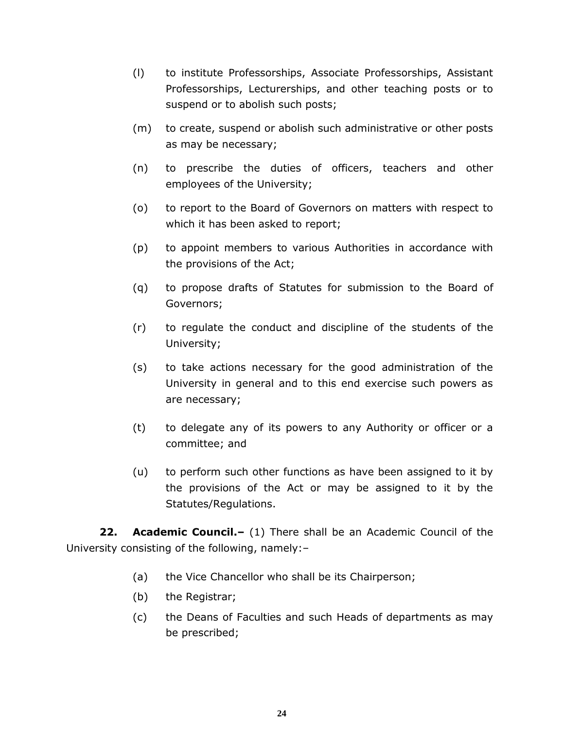- (l) to institute Professorships, Associate Professorships, Assistant Professorships, Lecturerships, and other teaching posts or to suspend or to abolish such posts;
- (m) to create, suspend or abolish such administrative or other posts as may be necessary;
- (n) to prescribe the duties of officers, teachers and other employees of the University;
- (o) to report to the Board of Governors on matters with respect to which it has been asked to report;
- (p) to appoint members to various Authorities in accordance with the provisions of the Act;
- (q) to propose drafts of Statutes for submission to the Board of Governors;
- (r) to regulate the conduct and discipline of the students of the University;
- (s) to take actions necessary for the good administration of the University in general and to this end exercise such powers as are necessary;
- (t) to delegate any of its powers to any Authority or officer or a committee; and
- (u) to perform such other functions as have been assigned to it by the provisions of the Act or may be assigned to it by the Statutes/Regulations.

**22. Academic Council.–** (1) There shall be an Academic Council of the University consisting of the following, namely:–

- (a) the Vice Chancellor who shall be its Chairperson;
- (b) the Registrar;
- (c) the Deans of Faculties and such Heads of departments as may be prescribed;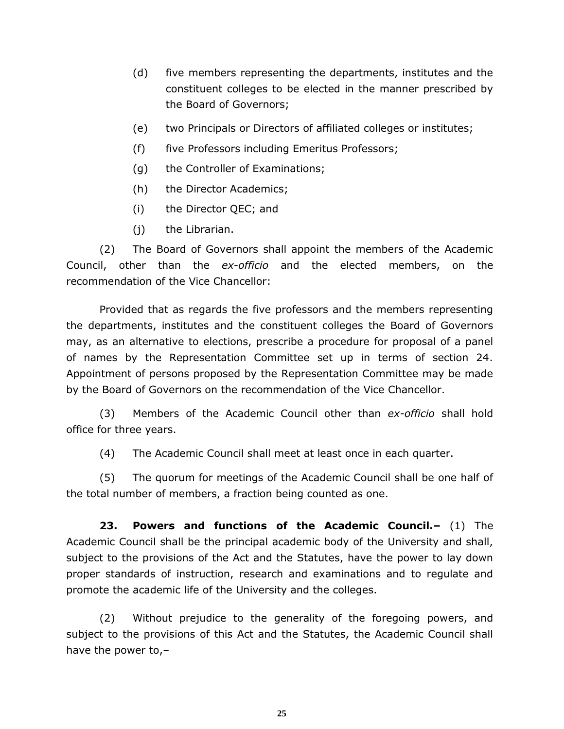- (d) five members representing the departments, institutes and the constituent colleges to be elected in the manner prescribed by the Board of Governors;
- (e) two Principals or Directors of affiliated colleges or institutes;
- (f) five Professors including Emeritus Professors;
- (g) the Controller of Examinations;
- (h) the Director Academics;
- (i) the Director QEC; and
- (j) the Librarian.

(2) The Board of Governors shall appoint the members of the Academic Council, other than the *ex-officio* and the elected members, on the recommendation of the Vice Chancellor:

Provided that as regards the five professors and the members representing the departments, institutes and the constituent colleges the Board of Governors may, as an alternative to elections, prescribe a procedure for proposal of a panel of names by the Representation Committee set up in terms of section 24. Appointment of persons proposed by the Representation Committee may be made by the Board of Governors on the recommendation of the Vice Chancellor.

(3) Members of the Academic Council other than *ex-officio* shall hold office for three years.

(4) The Academic Council shall meet at least once in each quarter.

(5) The quorum for meetings of the Academic Council shall be one half of the total number of members, a fraction being counted as one.

**23. Powers and functions of the Academic Council.–** (1) The Academic Council shall be the principal academic body of the University and shall, subject to the provisions of the Act and the Statutes, have the power to lay down proper standards of instruction, research and examinations and to regulate and promote the academic life of the University and the colleges.

(2) Without prejudice to the generality of the foregoing powers, and subject to the provisions of this Act and the Statutes, the Academic Council shall have the power to,–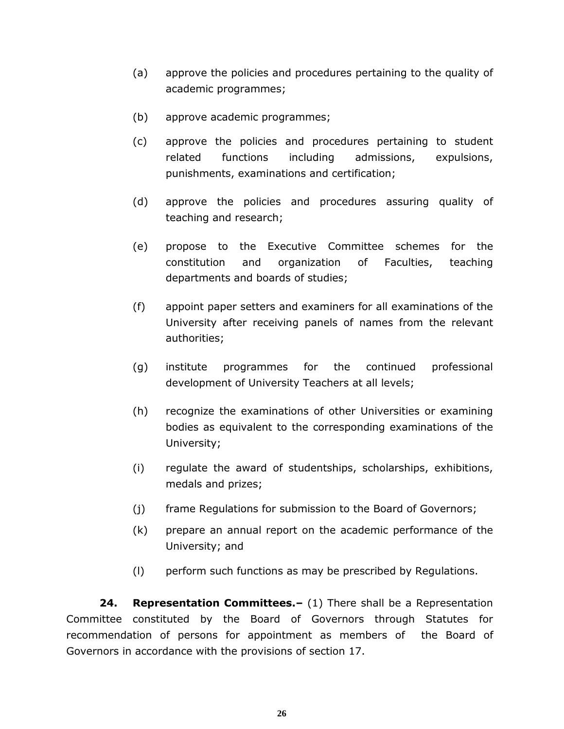- (a) approve the policies and procedures pertaining to the quality of academic programmes;
- (b) approve academic programmes;
- (c) approve the policies and procedures pertaining to student related functions including admissions, expulsions, punishments, examinations and certification;
- (d) approve the policies and procedures assuring quality of teaching and research;
- (e) propose to the Executive Committee schemes for the constitution and organization of Faculties, teaching departments and boards of studies;
- (f) appoint paper setters and examiners for all examinations of the University after receiving panels of names from the relevant authorities;
- (g) institute programmes for the continued professional development of University Teachers at all levels;
- (h) recognize the examinations of other Universities or examining bodies as equivalent to the corresponding examinations of the University;
- (i) regulate the award of studentships, scholarships, exhibitions, medals and prizes;
- (j) frame Regulations for submission to the Board of Governors;
- (k) prepare an annual report on the academic performance of the University; and
- (l) perform such functions as may be prescribed by Regulations.

**24. Representation Committees.–** (1) There shall be a Representation Committee constituted by the Board of Governors through Statutes for recommendation of persons for appointment as members of the Board of Governors in accordance with the provisions of section 17.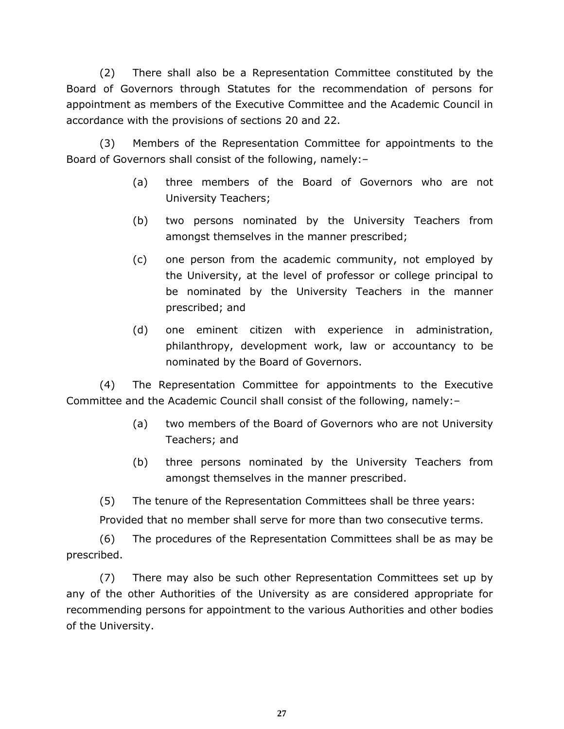(2) There shall also be a Representation Committee constituted by the Board of Governors through Statutes for the recommendation of persons for appointment as members of the Executive Committee and the Academic Council in accordance with the provisions of sections 20 and 22.

(3) Members of the Representation Committee for appointments to the Board of Governors shall consist of the following, namely:–

- (a) three members of the Board of Governors who are not University Teachers;
- (b) two persons nominated by the University Teachers from amongst themselves in the manner prescribed;
- (c) one person from the academic community, not employed by the University, at the level of professor or college principal to be nominated by the University Teachers in the manner prescribed; and
- (d) one eminent citizen with experience in administration, philanthropy, development work, law or accountancy to be nominated by the Board of Governors.

(4) The Representation Committee for appointments to the Executive Committee and the Academic Council shall consist of the following, namely:–

- (a) two members of the Board of Governors who are not University Teachers; and
- (b) three persons nominated by the University Teachers from amongst themselves in the manner prescribed.

(5) The tenure of the Representation Committees shall be three years:

Provided that no member shall serve for more than two consecutive terms.

(6) The procedures of the Representation Committees shall be as may be prescribed.

(7) There may also be such other Representation Committees set up by any of the other Authorities of the University as are considered appropriate for recommending persons for appointment to the various Authorities and other bodies of the University.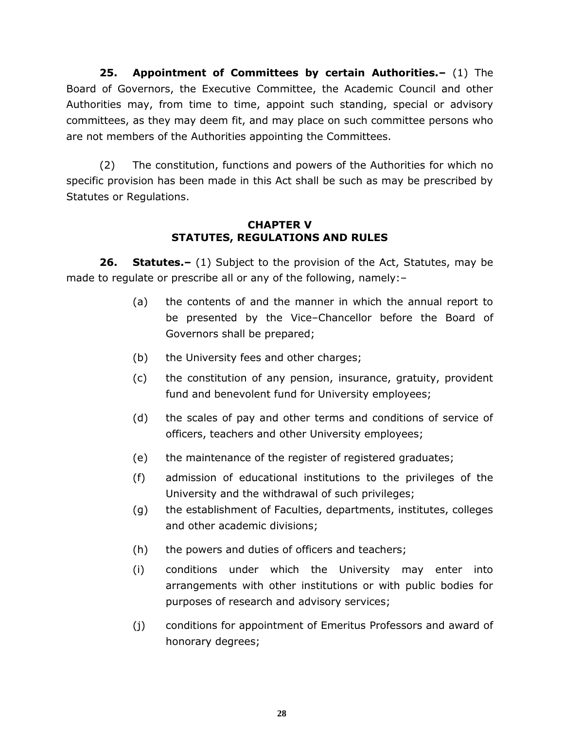**25. Appointment of Committees by certain Authorities.–** (1) The Board of Governors, the Executive Committee, the Academic Council and other Authorities may, from time to time, appoint such standing, special or advisory committees, as they may deem fit, and may place on such committee persons who are not members of the Authorities appointing the Committees.

(2) The constitution, functions and powers of the Authorities for which no specific provision has been made in this Act shall be such as may be prescribed by Statutes or Regulations.

## **CHAPTER V STATUTES, REGULATIONS AND RULES**

**26. Statutes.–** (1) Subject to the provision of the Act, Statutes, may be made to regulate or prescribe all or any of the following, namely:–

- (a) the contents of and the manner in which the annual report to be presented by the Vice–Chancellor before the Board of Governors shall be prepared;
- (b) the University fees and other charges;
- (c) the constitution of any pension, insurance, gratuity, provident fund and benevolent fund for University employees;
- (d) the scales of pay and other terms and conditions of service of officers, teachers and other University employees;
- (e) the maintenance of the register of registered graduates;
- (f) admission of educational institutions to the privileges of the University and the withdrawal of such privileges;
- (g) the establishment of Faculties, departments, institutes, colleges and other academic divisions;
- (h) the powers and duties of officers and teachers;
- (i) conditions under which the University may enter into arrangements with other institutions or with public bodies for purposes of research and advisory services;
- (j) conditions for appointment of Emeritus Professors and award of honorary degrees;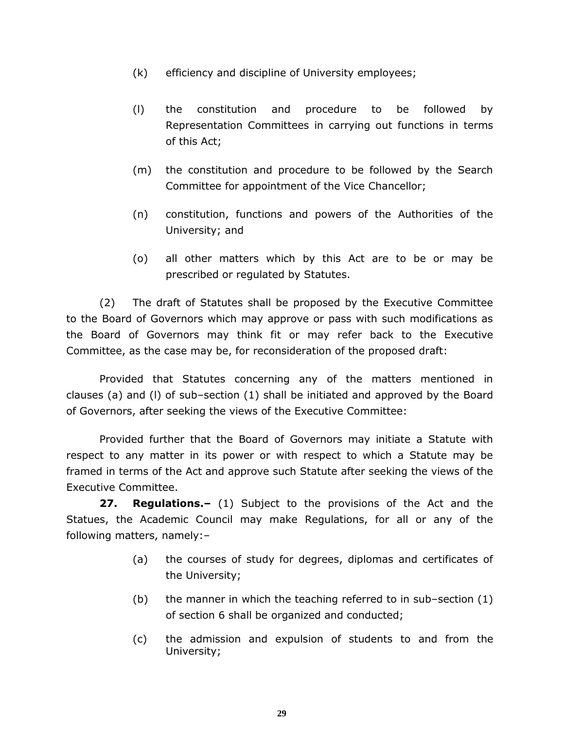- (k) efficiency and discipline of University employees;
- (l) the constitution and procedure to be followed by Representation Committees in carrying out functions in terms of this Act;
- (m) the constitution and procedure to be followed by the Search Committee for appointment of the Vice Chancellor;
- (n) constitution, functions and powers of the Authorities of the University; and
- (o) all other matters which by this Act are to be or may be prescribed or regulated by Statutes.

(2) The draft of Statutes shall be proposed by the Executive Committee to the Board of Governors which may approve or pass with such modifications as the Board of Governors may think fit or may refer back to the Executive Committee, as the case may be, for reconsideration of the proposed draft:

Provided that Statutes concerning any of the matters mentioned in clauses (a) and (l) of sub–section (1) shall be initiated and approved by the Board of Governors, after seeking the views of the Executive Committee:

Provided further that the Board of Governors may initiate a Statute with respect to any matter in its power or with respect to which a Statute may be framed in terms of the Act and approve such Statute after seeking the views of the Executive Committee.

**27. Regulations.–** (1) Subject to the provisions of the Act and the Statues, the Academic Council may make Regulations, for all or any of the following matters, namely:–

- (a) the courses of study for degrees, diplomas and certificates of the University;
- (b) the manner in which the teaching referred to in sub–section (1) of section 6 shall be organized and conducted;
- (c) the admission and expulsion of students to and from the University;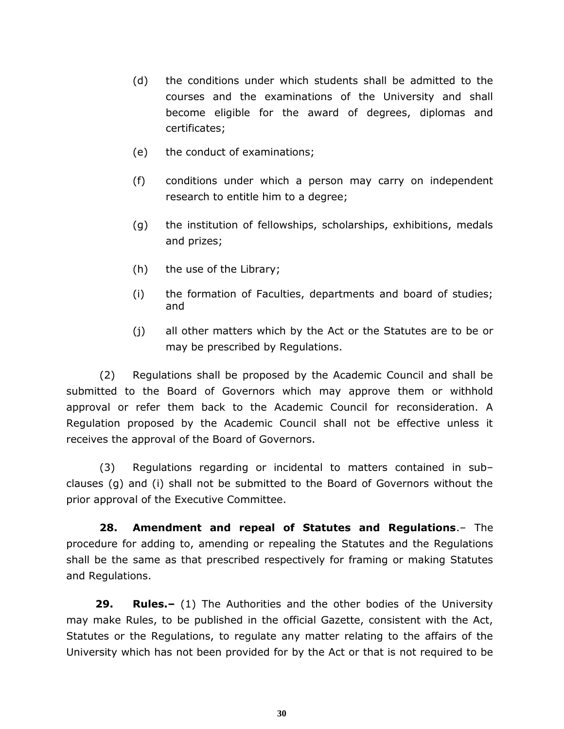- (d) the conditions under which students shall be admitted to the courses and the examinations of the University and shall become eligible for the award of degrees, diplomas and certificates;
- (e) the conduct of examinations;
- (f) conditions under which a person may carry on independent research to entitle him to a degree;
- (g) the institution of fellowships, scholarships, exhibitions, medals and prizes;
- (h) the use of the Library;
- (i) the formation of Faculties, departments and board of studies; and
- (j) all other matters which by the Act or the Statutes are to be or may be prescribed by Regulations.

(2) Regulations shall be proposed by the Academic Council and shall be submitted to the Board of Governors which may approve them or withhold approval or refer them back to the Academic Council for reconsideration. A Regulation proposed by the Academic Council shall not be effective unless it receives the approval of the Board of Governors.

(3) Regulations regarding or incidental to matters contained in sub– clauses (g) and (i) shall not be submitted to the Board of Governors without the prior approval of the Executive Committee.

**28. Amendment and repeal of Statutes and Regulations**.– The procedure for adding to, amending or repealing the Statutes and the Regulations shall be the same as that prescribed respectively for framing or making Statutes and Regulations.

**29. Rules.–** (1) The Authorities and the other bodies of the University may make Rules, to be published in the official Gazette, consistent with the Act, Statutes or the Regulations, to regulate any matter relating to the affairs of the University which has not been provided for by the Act or that is not required to be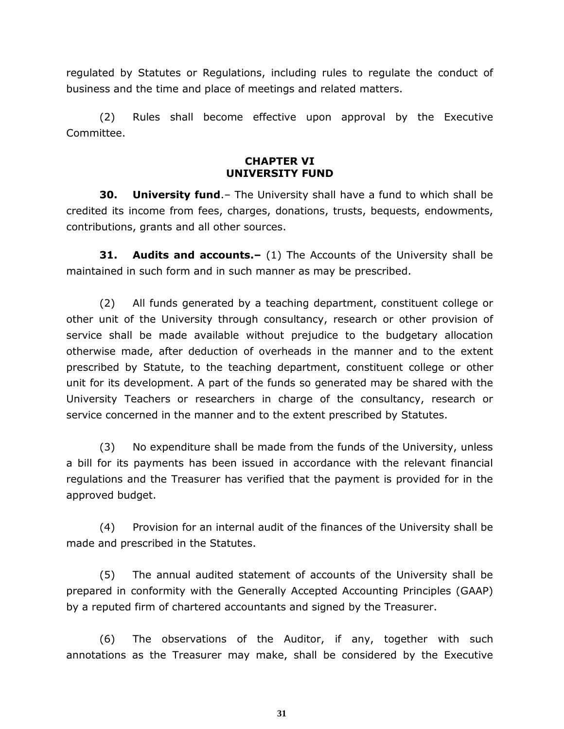regulated by Statutes or Regulations, including rules to regulate the conduct of business and the time and place of meetings and related matters.

(2) Rules shall become effective upon approval by the Executive Committee.

#### **CHAPTER VI UNIVERSITY FUND**

**30. University fund**.– The University shall have a fund to which shall be credited its income from fees, charges, donations, trusts, bequests, endowments, contributions, grants and all other sources.

**31. Audits and accounts.–** (1) The Accounts of the University shall be maintained in such form and in such manner as may be prescribed.

(2) All funds generated by a teaching department, constituent college or other unit of the University through consultancy, research or other provision of service shall be made available without prejudice to the budgetary allocation otherwise made, after deduction of overheads in the manner and to the extent prescribed by Statute, to the teaching department, constituent college or other unit for its development. A part of the funds so generated may be shared with the University Teachers or researchers in charge of the consultancy, research or service concerned in the manner and to the extent prescribed by Statutes.

(3) No expenditure shall be made from the funds of the University, unless a bill for its payments has been issued in accordance with the relevant financial regulations and the Treasurer has verified that the payment is provided for in the approved budget.

(4) Provision for an internal audit of the finances of the University shall be made and prescribed in the Statutes.

(5) The annual audited statement of accounts of the University shall be prepared in conformity with the Generally Accepted Accounting Principles (GAAP) by a reputed firm of chartered accountants and signed by the Treasurer.

(6) The observations of the Auditor, if any, together with such annotations as the Treasurer may make, shall be considered by the Executive

**31**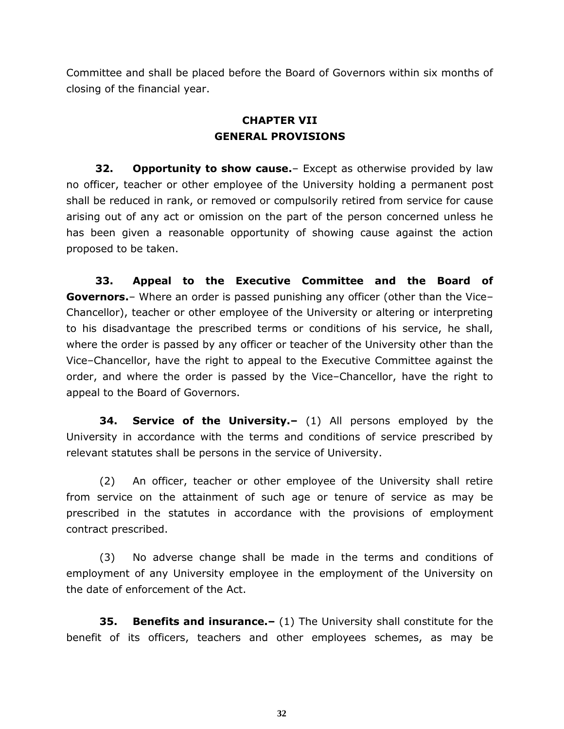Committee and shall be placed before the Board of Governors within six months of closing of the financial year.

# **CHAPTER VII GENERAL PROVISIONS**

**32. Opportunity to show cause.**– Except as otherwise provided by law no officer, teacher or other employee of the University holding a permanent post shall be reduced in rank, or removed or compulsorily retired from service for cause arising out of any act or omission on the part of the person concerned unless he has been given a reasonable opportunity of showing cause against the action proposed to be taken.

**33. Appeal to the Executive Committee and the Board of Governors.**– Where an order is passed punishing any officer (other than the Vice– Chancellor), teacher or other employee of the University or altering or interpreting to his disadvantage the prescribed terms or conditions of his service, he shall, where the order is passed by any officer or teacher of the University other than the Vice–Chancellor, have the right to appeal to the Executive Committee against the order, and where the order is passed by the Vice–Chancellor, have the right to appeal to the Board of Governors.

**34. Service of the University.–** (1) All persons employed by the University in accordance with the terms and conditions of service prescribed by relevant statutes shall be persons in the service of University.

(2) An officer, teacher or other employee of the University shall retire from service on the attainment of such age or tenure of service as may be prescribed in the statutes in accordance with the provisions of employment contract prescribed.

(3) No adverse change shall be made in the terms and conditions of employment of any University employee in the employment of the University on the date of enforcement of the Act.

**35. Benefits and insurance.–** (1) The University shall constitute for the benefit of its officers, teachers and other employees schemes, as may be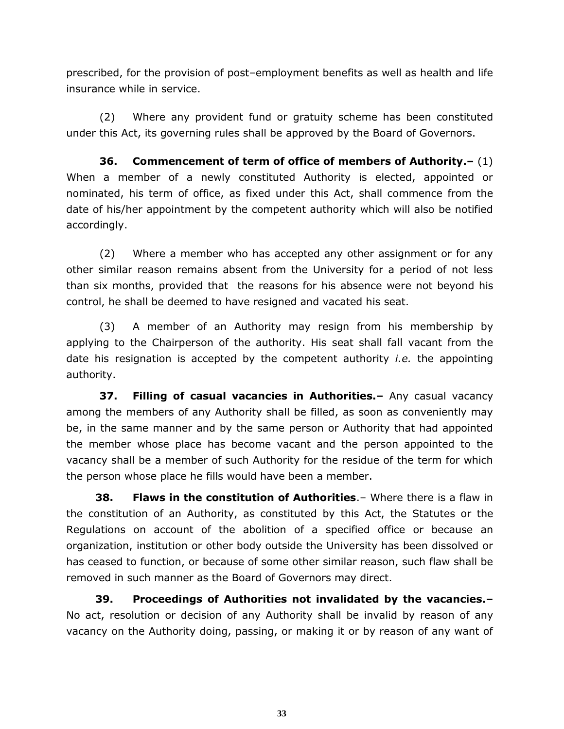prescribed, for the provision of post–employment benefits as well as health and life insurance while in service.

(2) Where any provident fund or gratuity scheme has been constituted under this Act, its governing rules shall be approved by the Board of Governors.

**36. Commencement of term of office of members of Authority.–** (1) When a member of a newly constituted Authority is elected, appointed or nominated, his term of office, as fixed under this Act, shall commence from the date of his/her appointment by the competent authority which will also be notified accordingly.

(2) Where a member who has accepted any other assignment or for any other similar reason remains absent from the University for a period of not less than six months, provided that the reasons for his absence were not beyond his control, he shall be deemed to have resigned and vacated his seat.

(3) A member of an Authority may resign from his membership by applying to the Chairperson of the authority. His seat shall fall vacant from the date his resignation is accepted by the competent authority *i.e.* the appointing authority.

**37. Filling of casual vacancies in Authorities.–** Any casual vacancy among the members of any Authority shall be filled, as soon as conveniently may be, in the same manner and by the same person or Authority that had appointed the member whose place has become vacant and the person appointed to the vacancy shall be a member of such Authority for the residue of the term for which the person whose place he fills would have been a member.

**38. Flaws in the constitution of Authorities**.– Where there is a flaw in the constitution of an Authority, as constituted by this Act, the Statutes or the Regulations on account of the abolition of a specified office or because an organization, institution or other body outside the University has been dissolved or has ceased to function, or because of some other similar reason, such flaw shall be removed in such manner as the Board of Governors may direct.

**39. Proceedings of Authorities not invalidated by the vacancies.–** No act, resolution or decision of any Authority shall be invalid by reason of any vacancy on the Authority doing, passing, or making it or by reason of any want of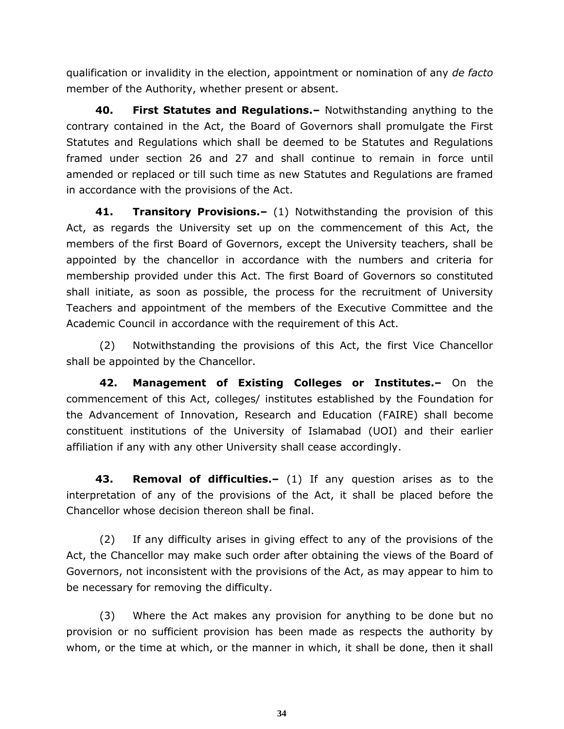qualification or invalidity in the election, appointment or nomination of any *de facto* member of the Authority, whether present or absent.

**40. First Statutes and Regulations.–** Notwithstanding anything to the contrary contained in the Act, the Board of Governors shall promulgate the First Statutes and Regulations which shall be deemed to be Statutes and Regulations framed under section 26 and 27 and shall continue to remain in force until amended or replaced or till such time as new Statutes and Regulations are framed in accordance with the provisions of the Act.

**41. Transitory Provisions.–** (1) Notwithstanding the provision of this Act, as regards the University set up on the commencement of this Act, the members of the first Board of Governors, except the University teachers, shall be appointed by the chancellor in accordance with the numbers and criteria for membership provided under this Act. The first Board of Governors so constituted shall initiate, as soon as possible, the process for the recruitment of University Teachers and appointment of the members of the Executive Committee and the Academic Council in accordance with the requirement of this Act.

(2) Notwithstanding the provisions of this Act, the first Vice Chancellor shall be appointed by the Chancellor.

**42. Management of Existing Colleges or Institutes.–** On the commencement of this Act, colleges/ institutes established by the Foundation for the Advancement of Innovation, Research and Education (FAIRE) shall become constituent institutions of the University of Islamabad (UOI) and their earlier affiliation if any with any other University shall cease accordingly.

**43. Removal of difficulties.–** (1) If any question arises as to the interpretation of any of the provisions of the Act, it shall be placed before the Chancellor whose decision thereon shall be final.

(2) If any difficulty arises in giving effect to any of the provisions of the Act, the Chancellor may make such order after obtaining the views of the Board of Governors, not inconsistent with the provisions of the Act, as may appear to him to be necessary for removing the difficulty.

(3) Where the Act makes any provision for anything to be done but no provision or no sufficient provision has been made as respects the authority by whom, or the time at which, or the manner in which, it shall be done, then it shall

**34**